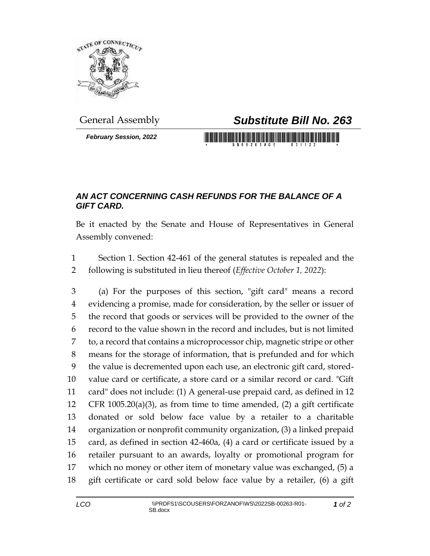

*February Session, 2022*

## General Assembly *Substitute Bill No. 263*

## *AN ACT CONCERNING CASH REFUNDS FOR THE BALANCE OF A GIFT CARD.*

Be it enacted by the Senate and House of Representatives in General Assembly convened:

 Section 1. Section 42-461 of the general statutes is repealed and the following is substituted in lieu thereof (*Effective October 1, 2022*):

 (a) For the purposes of this section, "gift card" means a record evidencing a promise, made for consideration, by the seller or issuer of the record that goods or services will be provided to the owner of the record to the value shown in the record and includes, but is not limited to, a record that contains a microprocessor chip, magnetic stripe or other means for the storage of information, that is prefunded and for which the value is decremented upon each use, an electronic gift card, stored- value card or certificate, a store card or a similar record or card. "Gift card" does not include: (1) A general-use prepaid card, as defined in 12 CFR 1005.20(a)(3), as from time to time amended, (2) a gift certificate donated or sold below face value by a retailer to a charitable organization or nonprofit community organization, (3) a linked prepaid card, as defined in section 42-460a, (4) a card or certificate issued by a retailer pursuant to an awards, loyalty or promotional program for which no money or other item of monetary value was exchanged, (5) a gift certificate or card sold below face value by a retailer, (6) a gift